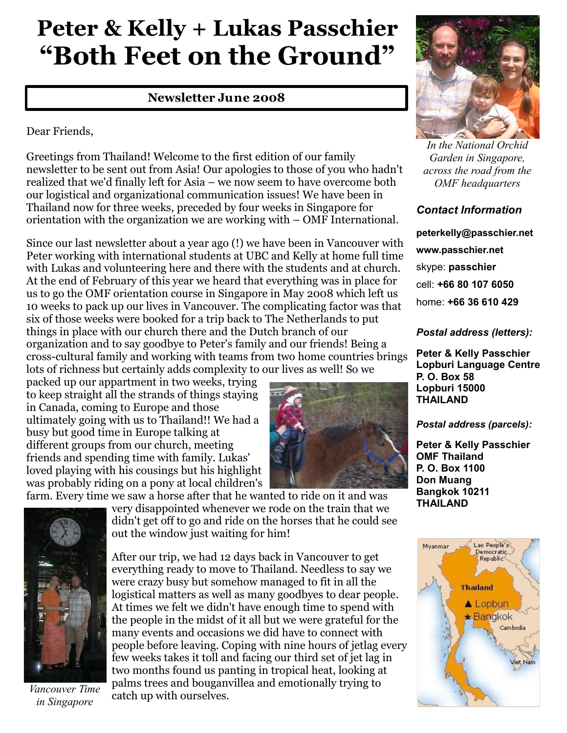# **Peter & Kelly + Lukas Passchier "Both Feet on the Ground"**

## **Newsletter June 2008**

Dear Friends,

Greetings from Thailand! Welcome to the first edition of our family newsletter to be sent out from Asia! Our apologies to those of you who hadn't realized that we'd finally left for Asia – we now seem to have overcome both our logistical and organizational communication issues! We have been in Thailand now for three weeks, preceded by four weeks in Singapore for orientation with the organization we are working with – OMF International.

Since our last newsletter about a year ago (!) we have been in Vancouver with Peter working with international students at UBC and Kelly at home full time with Lukas and volunteering here and there with the students and at church. At the end of February of this year we heard that everything was in place for us to go the OMF orientation course in Singapore in May 2008 which left us 10 weeks to pack up our lives in Vancouver. The complicating factor was that six of those weeks were booked for a trip back to The Netherlands to put things in place with our church there and the Dutch branch of our organization and to say goodbye to Peter's family and our friends! Being a cross-cultural family and working with teams from two home countries brings lots of richness but certainly adds complexity to our lives as well! So we

packed up our appartment in two weeks, trying to keep straight all the strands of things staying in Canada, coming to Europe and those ultimately going with us to Thailand!! We had a busy but good time in Europe talking at different groups from our church, meeting friends and spending time with family. Lukas' loved playing with his cousings but his highlight was probably riding on a pony at local children's



farm. Every time we saw a horse after that he wanted to ride on it and was



*Vancouver Time in Singapore*

very disappointed whenever we rode on the train that we didn't get off to go and ride on the horses that he could see out the window just waiting for him!

After our trip, we had 12 days back in Vancouver to get everything ready to move to Thailand. Needless to say we were crazy busy but somehow managed to fit in all the logistical matters as well as many goodbyes to dear people. At times we felt we didn't have enough time to spend with the people in the midst of it all but we were grateful for the many events and occasions we did have to connect with people before leaving. Coping with nine hours of jetlag every few weeks takes it toll and facing our third set of jet lag in two months found us panting in tropical heat, looking at palms trees and bouganvillea and emotionally trying to catch up with ourselves.



*In the National Orchid Garden in Singapore, across the road from the OMF headquarters*

## *Contact Information*

**peterkelly@passchier.net www.passchier.net** skype: **passchier** cell: **+66 80 107 6050** home: **+66 36 610 429**

### *Postal address (letters):*

**Peter & Kelly Passchier Lopburi Language Centre P. O. Box 58 Lopburi 15000 THAILAND** 

#### *Postal address (parcels):*

**Peter & Kelly Passchier OMF Thailand P. O. Box 1100 Don Muang Bangkok 10211 THAILAND**